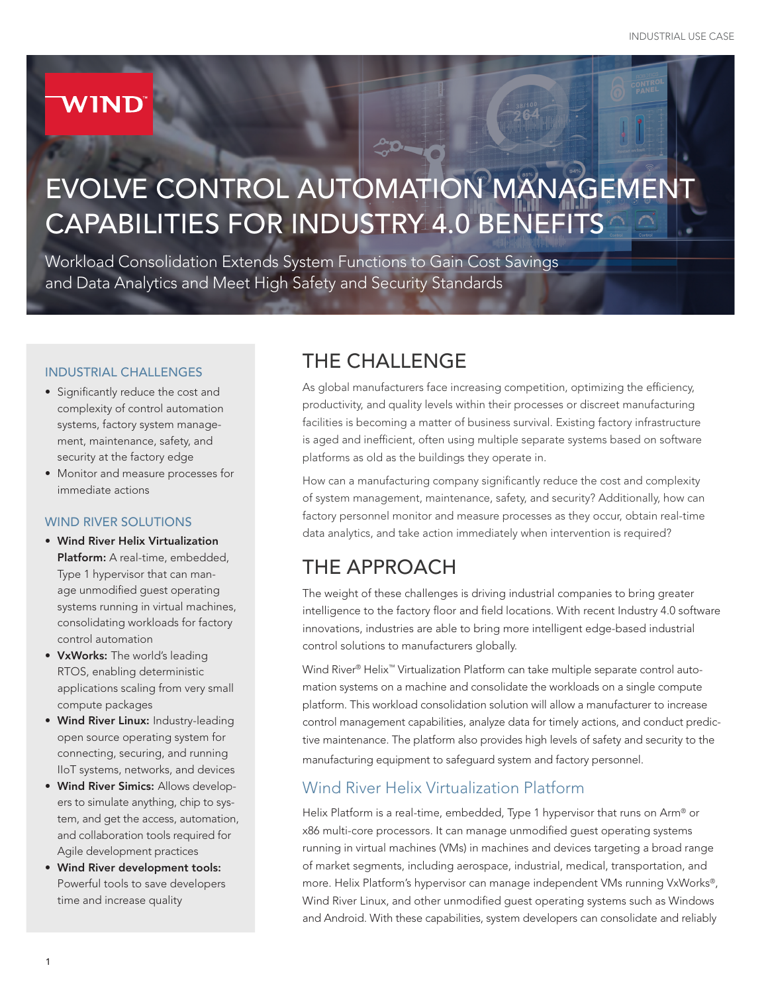# **WIND**

# EVOLVE CONTROL AUTOMATION MANAGEMENT CAPABILITIES FOR INDUSTRY 4.0 BENEFITS

To

Workload Consolidation Extends System Functions to Gain Cost Savings and Data Analytics and Meet High Safety and Security Standards

#### INDUSTRIAL CHALLENGES

- Significantly reduce the cost and complexity of control automation systems, factory system management, maintenance, safety, and security at the factory edge
- Monitor and measure processes for immediate actions

#### WIND RIVER SOLUTIONS

- Wind River Helix Virtualization Platform: A real-time, embedded, Type 1 hypervisor that can manage unmodified guest operating systems running in virtual machines, consolidating workloads for factory control automation
- VxWorks: The world's leading RTOS, enabling deterministic applications scaling from very small compute packages
- Wind River Linux: Industry-leading open source operating system for connecting, securing, and running IIoT systems, networks, and devices
- Wind River Simics: Allows developers to simulate anything, chip to system, and get the access, automation, and collaboration tools required for Agile development practices
- Wind River development tools: Powerful tools to save developers time and increase quality

## THE CHALLENGE

As global manufacturers face increasing competition, optimizing the efficiency, productivity, and quality levels within their processes or discreet manufacturing facilities is becoming a matter of business survival. Existing factory infrastructure is aged and inefficient, often using multiple separate systems based on software platforms as old as the buildings they operate in.

How can a manufacturing company significantly reduce the cost and complexity of system management, maintenance, safety, and security? Additionally, how can factory personnel monitor and measure processes as they occur, obtain real-time data analytics, and take action immediately when intervention is required?

## THE APPROACH

The weight of these challenges is driving industrial companies to bring greater intelligence to the factory floor and field locations. With recent Industry 4.0 software innovations, industries are able to bring more intelligent edge-based industrial control solutions to manufacturers globally.

Wind River® Helix™ Virtualization Platform can take multiple separate control automation systems on a machine and consolidate the workloads on a single compute platform. This workload consolidation solution will allow a manufacturer to increase control management capabilities, analyze data for timely actions, and conduct predictive maintenance. The platform also provides high levels of safety and security to the manufacturing equipment to safeguard system and factory personnel.

#### Wind River Helix Virtualization Platform

Helix Platform is a real-time, embedded, Type 1 hypervisor that runs on Arm® or x86 multi-core processors. It can manage unmodified guest operating systems running in virtual machines (VMs) in machines and devices targeting a broad range of market segments, including aerospace, industrial, medical, transportation, and more. Helix Platform's hypervisor can manage independent VMs running VxWorks®, Wind River Linux, and other unmodified guest operating systems such as Windows and Android. With these capabilities, system developers can consolidate and reliably